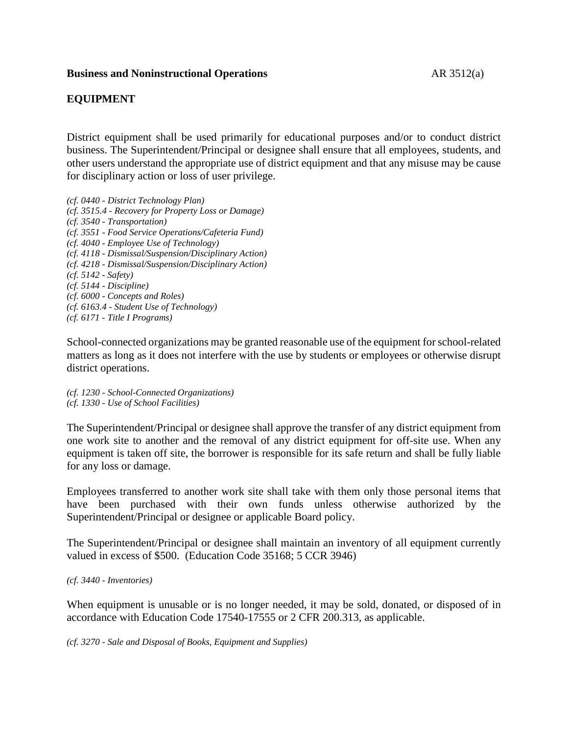### **Business and Noninstructional Operations** AR 3512(a)

## **EQUIPMENT**

District equipment shall be used primarily for educational purposes and/or to conduct district business. The Superintendent/Principal or designee shall ensure that all employees, students, and other users understand the appropriate use of district equipment and that any misuse may be cause for disciplinary action or loss of user privilege.

*(cf. 0440 - District Technology Plan) (cf. 3515.4 - Recovery for Property Loss or Damage) (cf. 3540 - Transportation) (cf. 3551 - Food Service Operations/Cafeteria Fund) (cf. 4040 - Employee Use of Technology) (cf. 4118 - Dismissal/Suspension/Disciplinary Action) (cf. 4218 - Dismissal/Suspension/Disciplinary Action) (cf. 5142 - Safety) (cf. 5144 - Discipline) (cf. 6000 - Concepts and Roles) (cf. 6163.4 - Student Use of Technology) (cf. 6171 - Title I Programs)*

School-connected organizations may be granted reasonable use of the equipment forschool-related matters as long as it does not interfere with the use by students or employees or otherwise disrupt district operations.

*(cf. 1230 - School-Connected Organizations) (cf. 1330 - Use of School Facilities)*

The Superintendent/Principal or designee shall approve the transfer of any district equipment from one work site to another and the removal of any district equipment for off-site use. When any equipment is taken off site, the borrower is responsible for its safe return and shall be fully liable for any loss or damage.

Employees transferred to another work site shall take with them only those personal items that have been purchased with their own funds unless otherwise authorized by the Superintendent/Principal or designee or applicable Board policy.

The Superintendent/Principal or designee shall maintain an inventory of all equipment currently valued in excess of \$500. (Education Code 35168; 5 CCR 3946)

#### *(cf. 3440 - Inventories)*

When equipment is unusable or is no longer needed, it may be sold, donated, or disposed of in accordance with Education Code 17540-17555 or 2 CFR 200.313, as applicable.

*(cf. 3270 - Sale and Disposal of Books, Equipment and Supplies)*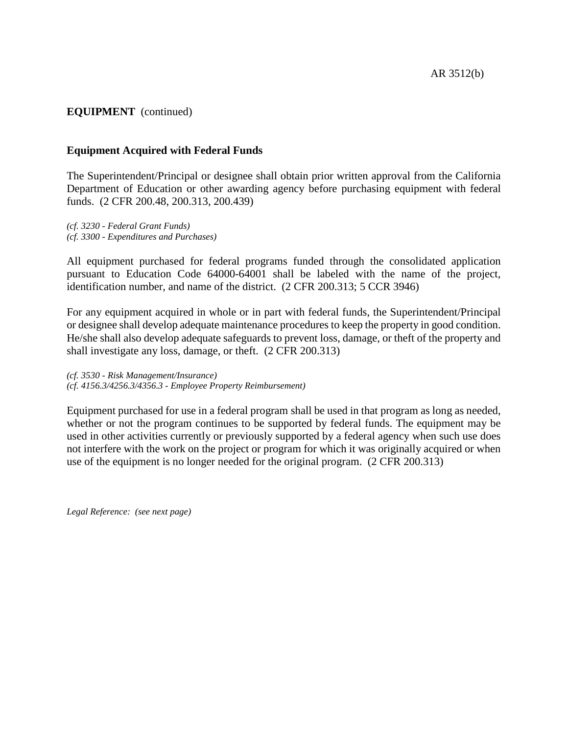# **EQUIPMENT** (continued)

### **Equipment Acquired with Federal Funds**

The Superintendent/Principal or designee shall obtain prior written approval from the California Department of Education or other awarding agency before purchasing equipment with federal funds. (2 CFR 200.48, 200.313, 200.439)

*(cf. 3230 - Federal Grant Funds) (cf. 3300 - Expenditures and Purchases)*

All equipment purchased for federal programs funded through the consolidated application pursuant to Education Code 64000-64001 shall be labeled with the name of the project, identification number, and name of the district. (2 CFR 200.313; 5 CCR 3946)

For any equipment acquired in whole or in part with federal funds, the Superintendent/Principal or designee shall develop adequate maintenance procedures to keep the property in good condition. He/she shall also develop adequate safeguards to prevent loss, damage, or theft of the property and shall investigate any loss, damage, or theft. (2 CFR 200.313)

*(cf. 3530 - Risk Management/Insurance) (cf. 4156.3/4256.3/4356.3 - Employee Property Reimbursement)*

Equipment purchased for use in a federal program shall be used in that program as long as needed, whether or not the program continues to be supported by federal funds. The equipment may be used in other activities currently or previously supported by a federal agency when such use does not interfere with the work on the project or program for which it was originally acquired or when use of the equipment is no longer needed for the original program. (2 CFR 200.313)

*Legal Reference: (see next page)*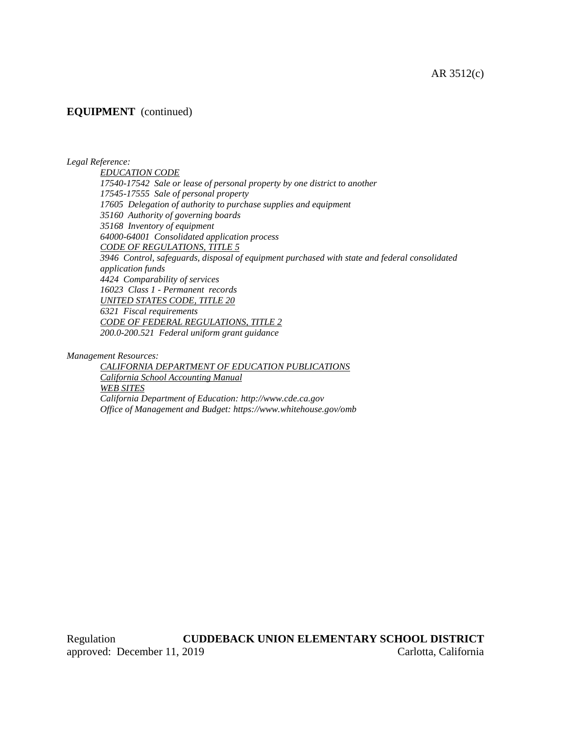#### AR 3512(c)

# **EQUIPMENT** (continued)

*Legal Reference:*

*EDUCATION CODE 17540-17542 Sale or lease of personal property by one district to another 17545-17555 Sale of personal property 17605 Delegation of authority to purchase supplies and equipment 35160 Authority of governing boards 35168 Inventory of equipment 64000-64001 Consolidated application process CODE OF REGULATIONS, TITLE 5 3946 Control, safeguards, disposal of equipment purchased with state and federal consolidated application funds 4424 Comparability of services 16023 Class 1 - Permanent records UNITED STATES CODE, TITLE 20 6321 Fiscal requirements CODE OF FEDERAL REGULATIONS, TITLE 2 200.0-200.521 Federal uniform grant guidance*

*Management Resources:*

*CALIFORNIA DEPARTMENT OF EDUCATION PUBLICATIONS California School Accounting Manual WEB SITES California Department of Education: http://www.cde.ca.gov Office of Management and Budget: https://www.whitehouse.gov/omb*

Regulation **CUDDEBACK UNION ELEMENTARY SCHOOL DISTRICT** approved: December 11, 2019 Carlotta, California